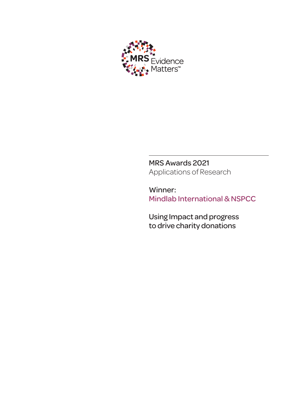

MRS Awards 2021 Applications of Research

Winner: Mindlab International & NSPCC

Using Impact and progress to drive charity donations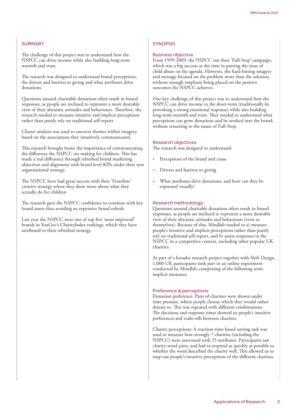# **SUMMARY**

The challenge of this project was to understand how the NSPCC can drive income while also building long-term warmth and trust.

The research was designed to understand brand perceptions, the drivers and barriers to giving and what attributes drive donations.

Questions around charitable donations often result in biased responses, as people are inclined to represent a more desirable view of their altruistic attitudes and behaviours. Therefore, the research needed to measure intuitive and implicit perceptions rather than purely rely on traditional self-report

Cluster analysis was used to uncover themes within imagery, based on the associations they intuitively communicated.

This research brought home the importance of communicating the difference the NSPCC are making for children. This has made a real difference through refreshed brand marketing objectives and alignment with brand level KPIs under their new organisational strategy.

The NSPCC have had great success with their 'Frontline' creative strategy where they show more about what they actually do for children

The research gave the NSPCC confidence to continue with key brand assets thus avoiding an expensive brand refresh.

Last year the NSPCC were one of top five 'most improved' brands in YouGov's CharityIndex rankings, which they have attributed to their refreshed strategy.

### **SYNOPSIS**

### Business objective

From 1999-2009, the NSPCC ran their 'Full-Stop' campaign, which was a big success at the time in putting the issue of child abuse on the agenda. However, the hard-hitting imagery and message focused on the problem more than the solution, without enough emphasis being placed on the positive outcomes the NSPCC achieves.

One key challenge of this project was to understand how the NSPCC can drive income in the short-term (traditionally by provoking a strong emotional response) while also building long-term warmth and trust. They needed to understand what perceptions can grow donations and be worked into the brand, without returning to the issues of Full-Stop.

#### Research objectives

The research was designed to understand:

- Perceptions of the brand and cause
- Drivers and barriers to giving
- What attributes drive donations, and how can they be expressed visually?

#### Research methodology

Questions around charitable donations often result in biased responses, as people are inclined to represent a more desirable view of their altruistic attitudes and behaviours (even to themselves). Because of this, Mindlab needed to a) measure people's intuitive and implicit perceptions rather than purely rely on traditional self-report, and b) assess responses to the NSPCC in a competitive context, including other popular UK charities.

As part of a broader research project together with Shift Design, 1,000 UK participants took part in an online experiment conducted by Mindlab, comprising of the following semiimplicit measures:

### Preference & perceptions

Donation preference: Pairs of charities were shown under time pressure, where people choose which they would rather donate to. This was repeated with different combinations. The decisions and response times showed us people's intuitive preferences and trade-offs between charities.

Charity perceptions: A reaction-time-based sorting task was used to measure how strongly 7 charities (including the NSPCC) were associated with 25 attributes. Participants saw charity-word pairs, and had to respond as quickly as possible to whether the word described the charity well. This allowed us to map out people's intuitive perceptions of the different charities.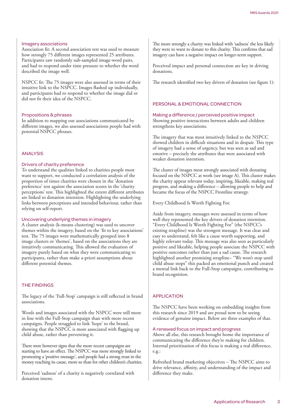# Imagery associations

Association fit: A second association test was used to measure how strongly 75 different images represented 25 attributes. Participants saw randomly sub-sampled image-word pairs, and had to respond under time pressure to whether the word described the image well.

NSPCC fit: The 75 images were also assessed in terms of their intuitive link to the NSPCC. Images flashed up individually, and participants had to respond to whether the image did or did not fit their idea of the NSPCC.

### Propositions & phrases

In addition to mapping out associations communicated by different images, we also assessed associations people had with potential NSPCC phrases.

## ANALYSIS

### Drivers of charity preference

To understand the qualities linked to charities people most want to support, we conducted a correlation analysis of the proportion of times charities were chosen in the 'donation preference' test against the association scores in the 'charity perceptions' test. This highlighted the extent different attributes are linked to donation intention. Highlighting the underlying links between perceptions and intended behaviour, rather than relying on self-report.

#### Uncovering underlying themes in imagery

A cluster analysis (k-means clustering) was used to uncover themes within the imagery, based on the 'fit to key associations' test. The 75 images were mathematically grouped into 8 image clusters or 'themes', based on the associations they are intuitively communicating. This allowed the evaluation of imagery purely based on what they were communicating to participants, rather than make a-priori assumptions about different potential themes.

# THE FINDINGS

The legacy of the 'Full-Stop' campaign is still reflected in brand associations.

Words and images associated with the NSPCC were still more in line with the Full-Stop campaign than with more recent campaigns. People struggled to link 'hope' to the brand, showing that the NSPCC is more associated with flagging up child abuse, rather than preventing it.

There were however signs that the more recent campaigns are starting to have an effect. The NSPCC was more strongly linked to promoting a 'positive message', and people had a strong trust in the money reaching its cause, more so than for other children's charities.

Perceived 'sadness' of a charity is negatively correlated with donation intent.

The more strongly a charity was linked with 'sadness' the less likely they were to want to donate to this charity. This confirms that sad imagery can have a negative impact on longer-term support.

Perceived impact and personal connection are key in driving donations.

The research identified two key drivers of donation (see figure 1):

# PERSONAL & EMOTIONAL CONNECTION

Making a difference / perceived positive impact Showing positive interactions between adults and children strengthens key associations.

The imagery that was most intuitively linked to the NSPCC showed children in difficult situations and in despair. This type of imagery had a sense of urgency, but was seen as sad and emotive – precisely the attributes that were associated with weaker donation intention.

The cluster of images most strongly associated with donating focused on the NSPCC at work (see image A). This cluster makes the charity appear relevant today, inspiring, likeable, making real progress, and making a difference – allowing people to help and became the focus of the NSPCC Frontline strategy.

Every Childhood Is Worth Fighting For.

Aside from imagery, messages were assessed in terms of how well they represented the key drivers of donation intention. "Every Childhood Is Worth Fighting For" (the NSPCC's existing strapline) was the strongest message. It was clear and easy to understand, felt like a cause worth supporting, and highly relevant today. This message was also seen as particularly positive and likeable, helping people associate the NSPCC with positive outcomes rather than just a sad cause. The research highlighted another promising strapline– "We won't stop until child abuse stops" this packed an emotional punch and created a mental link back to the Full-Stop campaigns, contributing to brand recognition.

## APPLICATION

The NSPCC have been working on embedding insights from this research since 2019 and are proud now to be seeing evidence of genuine impact. Below are three examples of that.

### A renewed focus on impact and progress

Above all else, this research brought home the importance of communicating the difference they're making for children. Internal prioritisation of this focus is making a real difference, e.g.:

Refreshed brand marketing objectives – The NSPCC aims to drive relevance, affinity, and understanding of the impact and difference they make.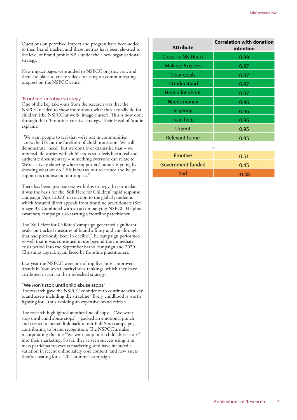Questions on perceived impact and progress have been added to their brand tracker, and these metrics have been elevated to the level of brand profile KPIs under their new organisational strategy.

New impact pages were added to NSPCC.org this year, and there are plans to create videos focusing on communicating progress on the NSPCC cause.

#### 'Frontline' creative strategy

One of the key take-outs from the research was that the NSPCC needed to show more about what they actually do for children (the NSPCC at work' image cluster). This is now done through their 'Frontline' creative strategy. Their Head of Studio explains:

"We want people to feel that we're out in communities across the UK, at the forefront of child protection. We still demonstrate "need" but we don't over dramatise that – we mix real life stories with child actors so it feels like a real and authentic documentary – something everyone can relate to. We're actively showing where supporters' money is going by showing what we do. This increases our relevance and helps supporters understand our impact."

There has been great success with this strategy. In particular, it was the basis for the 'Still Here for Children' rapid response campaign (April 2020) in reaction to the global pandemic which featured direct appeals from frontline practitioners (See image B). Combined with an accompanying NSPCC Helpline awareness campaign also starring a frontline practitioner,

The 'Still Here for Children' campaign generated significant peaks on tracked measures of brand affinity and cut-through that had previously been in decline. The campaign performed so well that it was continued in use beyond the immediate crisis period into the September brand campaign and 2020 Christmas appeal, again faced by frontline practitioners.

Last year the NSPCC were one of top five 'most improved' brands in YouGov's CharityIndex rankings, which they have attributed in part to their refreshed strategy.

#### "We won't stop until child abuse stops"

The research gave the NSPCC confidence to continue with key brand assets including the strapline "Every childhood is worth fighting for", thus avoiding an expensive brand refresh.

The research highlighted another line of copy – "We won't stop until child abuse stops" – packed an emotional punch and created a mental link back to our Full-Stop campaigns, contributing to brand recognition. The NSPCC are also incorporating the line "We won't stop until child abuse stops" into their marketing. So far, they've seen success using it in mass participation events marketing, and have included a variation in recent online safety core content and new assets they're creating for a 2021 summer campaign.

| <b>Attribute</b>       | <b>Correlation with donation</b><br>intention |
|------------------------|-----------------------------------------------|
| Close To My Heart      | 0.99                                          |
| <b>Making Progress</b> | 0.97                                          |
| <b>Clear Goals</b>     | 0.97                                          |
| <b>I</b> Understand    | 0.97                                          |
| Hear a lot about       | 0.97                                          |
| Needs money            | 0.96                                          |
| Inspiring              | 0.96                                          |
| I can help             | 0.96                                          |
| Urgent                 | 0.95                                          |
| Relevant to me         | 0.95                                          |
|                        |                                               |

| <b>Emotive</b>    | 0.51    |
|-------------------|---------|
| Government funded | 0.45    |
| Sad               | $-0.38$ |